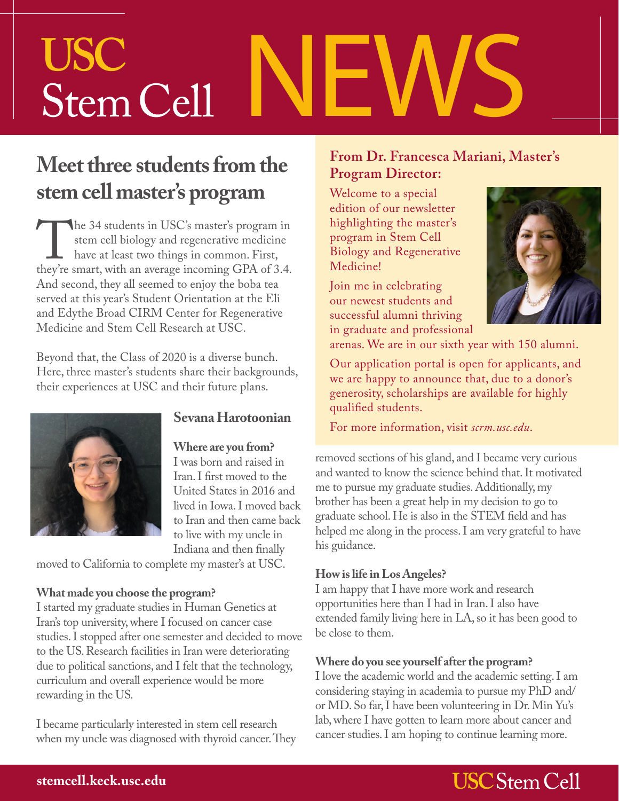# NEWS **USC** Stem Cell

# **Meet three students from the stem cell master's program**

The 34 students in USC's master's program in<br>
stem cell biology and regenerative medicine<br>
have at least two things in common. First,<br>
they're smart, with an average incoming GPA of 3.4. stem cell biology and regenerative medicine have at least two things in common. First, And second, they all seemed to enjoy the boba tea served at this year's Student Orientation at the Eli and Edythe Broad CIRM Center for Regenerative Medicine and Stem Cell Research at USC.

Beyond that, the Class of 2020 is a diverse bunch. Here, three master's students share their backgrounds, their experiences at USC and their future plans.



### **Sevana Harotoonian**

**Where are you from?**  I was born and raised in Iran. I first moved to the United States in 2016 and lived in Iowa. I moved back to Iran and then came back to live with my uncle in Indiana and then finally

moved to California to complete my master's at USC.

### **What made you choose the program?**

I started my graduate studies in Human Genetics at Iran's top university, where I focused on cancer case studies. I stopped after one semester and decided to move to the US. Research facilities in Iran were deteriorating due to political sanctions, and I felt that the technology, curriculum and overall experience would be more rewarding in the US.

I became particularly interested in stem cell research when my uncle was diagnosed with thyroid cancer. They

## **From Dr. Francesca Mariani, Master's Program Director:**

Welcome to a special edition of our newsletter highlighting the master's program in Stem Cell Biology and Regenerative Medicine!

Join me in celebrating our newest students and successful alumni thriving in graduate and professional



arenas. We are in our sixth year with 150 alumni.

Our application portal is open for applicants, and we are happy to announce that, due to a donor's generosity, scholarships are available for highly qualified students.

For more information, visit *scrm.usc.edu*.

removed sections of his gland, and I became very curious and wanted to know the science behind that. It motivated me to pursue my graduate studies. Additionally, my brother has been a great help in my decision to go to graduate school. He is also in the STEM field and has helped me along in the process. I am very grateful to have his guidance.

### **How is life in Los Angeles?**

I am happy that I have more work and research opportunities here than I had in Iran. I also have extended family living here in LA, so it has been good to be close to them.

### **Where do you see yourself after the program?**

I love the academic world and the academic setting. I am considering staying in academia to pursue my PhD and/ or MD. So far, I have been volunteering in Dr. Min Yu's lab, where I have gotten to learn more about cancer and cancer studies. I am hoping to continue learning more.

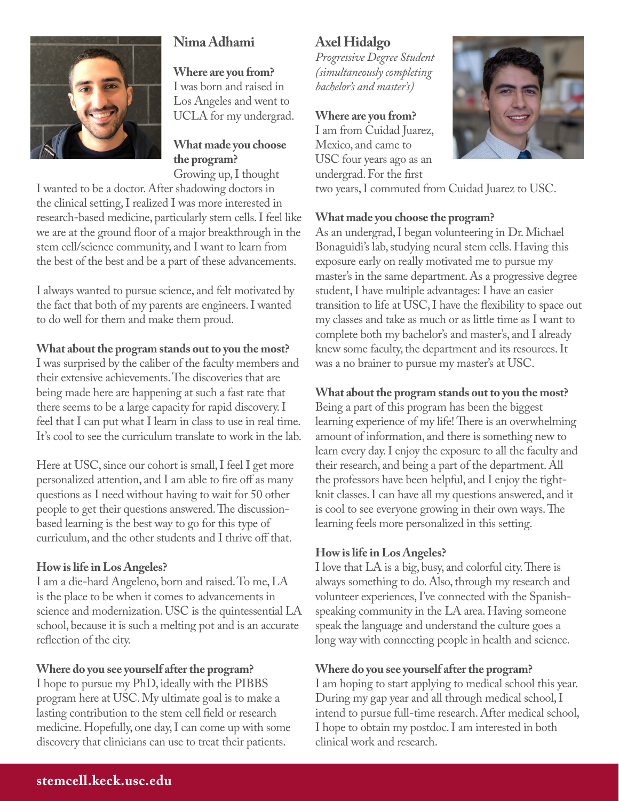

### **Nima Adhami**

**Where are you from?**  I was born and raised in Los Angeles and went to UCLA for my undergrad.

### **What made you choose the program?**

Growing up, I thought I wanted to be a doctor. After shadowing doctors in

the clinical setting, I realized I was more interested in research-based medicine, particularly stem cells. I feel like we are at the ground floor of a major breakthrough in the stem cell/science community, and I want to learn from the best of the best and be a part of these advancements.

I always wanted to pursue science, and felt motivated by the fact that both of my parents are engineers. I wanted to do well for them and make them proud.

### **What about the program stands out to you the most?**

I was surprised by the caliber of the faculty members and their extensive achievements. The discoveries that are being made here are happening at such a fast rate that there seems to be a large capacity for rapid discovery. I feel that I can put what I learn in class to use in real time. It's cool to see the curriculum translate to work in the lab.

Here at USC, since our cohort is small, I feel I get more personalized attention, and I am able to fire off as many questions as I need without having to wait for 50 other people to get their questions answered. The discussionbased learning is the best way to go for this type of curriculum, and the other students and I thrive off that.

### **How is life in Los Angeles?**

I am a die-hard Angeleno, born and raised. To me, LA is the place to be when it comes to advancements in science and modernization. USC is the quintessential LA school, because it is such a melting pot and is an accurate reflection of the city.

### **Where do you see yourself after the program?**

I hope to pursue my PhD, ideally with the PIBBS program here at USC. My ultimate goal is to make a lasting contribution to the stem cell field or research medicine. Hopefully, one day, I can come up with some discovery that clinicians can use to treat their patients.

## **Axel Hidalgo**

*Progressive Degree Student (simultaneously completing bachelor's and master's)*

### **Where are you from?**

I am from Cuidad Juarez, Mexico, and came to USC four years ago as an undergrad. For the first



two years, I commuted from Cuidad Juarez to USC.

### **What made you choose the program?**

As an undergrad, I began volunteering in Dr. Michael Bonaguidi's lab, studying neural stem cells. Having this exposure early on really motivated me to pursue my master's in the same department. As a progressive degree student, I have multiple advantages: I have an easier transition to life at USC, I have the flexibility to space out my classes and take as much or as little time as I want to complete both my bachelor's and master's, and I already knew some faculty, the department and its resources. It was a no brainer to pursue my master's at USC.

### **What about the program stands out to you the most?**

Being a part of this program has been the biggest learning experience of my life! There is an overwhelming amount of information, and there is something new to learn every day. I enjoy the exposure to all the faculty and their research, and being a part of the department. All the professors have been helpful, and I enjoy the tightknit classes. I can have all my questions answered, and it is cool to see everyone growing in their own ways. The learning feels more personalized in this setting.

### **How is life in Los Angeles?**

I love that LA is a big, busy, and colorful city. There is always something to do. Also, through my research and volunteer experiences, I've connected with the Spanishspeaking community in the LA area. Having someone speak the language and understand the culture goes a long way with connecting people in health and science.

### **Where do you see yourself after the program?**

I am hoping to start applying to medical school this year. During my gap year and all through medical school, I intend to pursue full-time research. After medical school, I hope to obtain my postdoc. I am interested in both clinical work and research.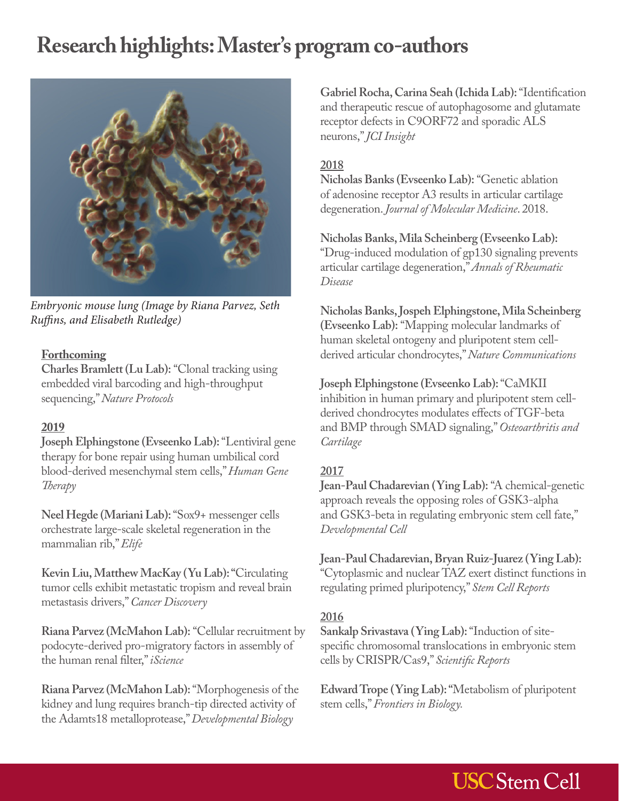# **Research highlights: Master's program co-authors**



*Embryonic mouse lung (Image by Riana Parvez, Seth Ruffins, and Elisabeth Rutledge)*

#### **Forthcoming**

**Charles Bramlett (Lu Lab):** "Clonal tracking using embedded viral barcoding and high-throughput sequencing," *Nature Protocols*

#### **2019**

**Joseph Elphingstone (Evseenko Lab):** "Lentiviral gene therapy for bone repair using human umbilical cord blood-derived mesenchymal stem cells," *Human Gene Therapy*

**Neel Hegde (Mariani Lab):** "Sox9+ messenger cells orchestrate large-scale skeletal regeneration in the mammalian rib," *Elife* 

**Kevin Liu, Matthew MacKay (Yu Lab): "**Circulating tumor cells exhibit metastatic tropism and reveal brain metastasis drivers," *Cancer Discovery* 

**Riana Parvez (McMahon Lab):** "Cellular recruitment by podocyte-derived pro-migratory factors in assembly of the human renal filter," *iScience*

**Riana Parvez (McMahon Lab):** "Morphogenesis of the kidney and lung requires branch-tip directed activity of the Adamts18 metalloprotease," *Developmental Biology*

**Gabriel Rocha, Carina Seah (Ichida Lab):** "Identification and therapeutic rescue of autophagosome and glutamate receptor defects in C9ORF72 and sporadic ALS neurons," *JCI Insight*

#### **2018**

**Nicholas Banks (Evseenko Lab):** "Genetic ablation of adenosine receptor A3 results in articular cartilage degeneration. *Journal of Molecular Medicine*. 2018.

**Nicholas Banks, Mila Scheinberg (Evseenko Lab):** "Drug-induced modulation of gp130 signaling prevents articular cartilage degeneration," *Annals of Rheumatic Disease*

**Nicholas Banks, Jospeh Elphingstone, Mila Scheinberg (Evseenko Lab):** "Mapping molecular landmarks of human skeletal ontogeny and pluripotent stem cellderived articular chondrocytes," *Nature Communications*

**Joseph Elphingstone (Evseenko Lab):** "CaMKII inhibition in human primary and pluripotent stem cellderived chondrocytes modulates effects of TGF-beta and BMP through SMAD signaling," *Osteoarthritis and Cartilage*

#### **2017**

**Jean-Paul Chadarevian (Ying Lab):** "A chemical-genetic approach reveals the opposing roles of GSK3-alpha and GSK3-beta in regulating embryonic stem cell fate," *Developmental Cell*

**Jean-Paul Chadarevian, Bryan Ruiz-Juarez (Ying Lab):**  "Cytoplasmic and nuclear TAZ exert distinct functions in regulating primed pluripotency," *Stem Cell Reports*

#### **2016**

**Sankalp Srivastava (Ying Lab):** "Induction of sitespecific chromosomal translocations in embryonic stem cells by CRISPR/Cas9," *Scientific Reports*

**Edward Trope (Ying Lab): "**Metabolism of pluripotent stem cells," *Frontiers in Biology.*